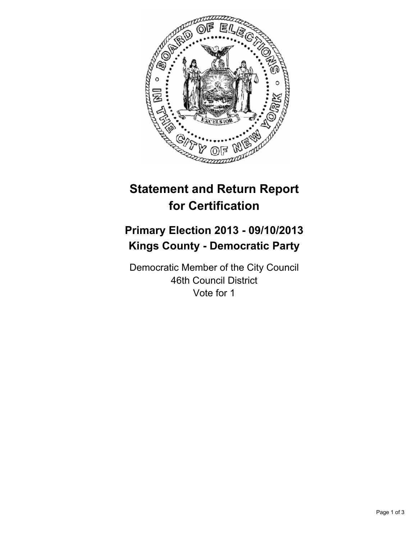

# **Statement and Return Report for Certification**

# **Primary Election 2013 - 09/10/2013 Kings County - Democratic Party**

Democratic Member of the City Council 46th Council District Vote for 1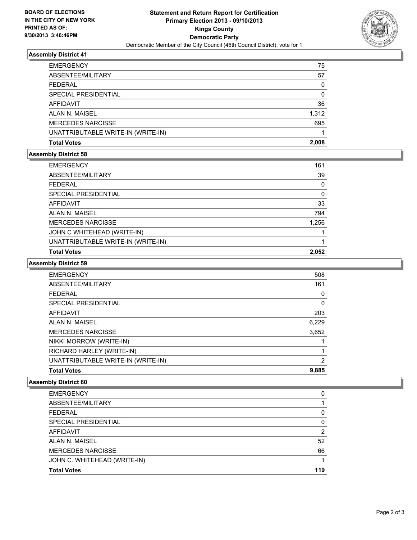

# **Assembly District 41**

| <b>EMERGENCY</b>                   | 75    |
|------------------------------------|-------|
| ABSENTEE/MILITARY                  | 57    |
| <b>FEDERAL</b>                     | 0     |
| SPECIAL PRESIDENTIAL               | 0     |
| AFFIDAVIT                          | 36    |
| ALAN N. MAISEL                     | 1,312 |
| <b>MERCEDES NARCISSE</b>           | 695   |
| UNATTRIBUTABLE WRITE-IN (WRITE-IN) |       |
| <b>Total Votes</b>                 | 2.008 |

#### **Assembly District 58**

| <b>EMERGENCY</b>                   | 161   |
|------------------------------------|-------|
| ABSENTEE/MILITARY                  | 39    |
| <b>FEDERAL</b>                     | 0     |
| SPECIAL PRESIDENTIAL               | 0     |
| AFFIDAVIT                          | 33    |
| ALAN N. MAISEL                     | 794   |
| <b>MERCEDES NARCISSE</b>           | 1,256 |
| JOHN C WHITEHEAD (WRITE-IN)        |       |
| UNATTRIBUTABLE WRITE-IN (WRITE-IN) |       |
| <b>Total Votes</b>                 | 2.052 |

# **Assembly District 59**

| <b>EMERGENCY</b>                   | 508   |
|------------------------------------|-------|
| ABSENTEE/MILITARY                  | 161   |
| <b>FEDERAL</b>                     | 0     |
| SPECIAL PRESIDENTIAL               | 0     |
| <b>AFFIDAVIT</b>                   | 203   |
| ALAN N. MAISEL                     | 6,229 |
| <b>MERCEDES NARCISSE</b>           | 3,652 |
| NIKKI MORROW (WRITE-IN)            |       |
| RICHARD HARLEY (WRITE-IN)          |       |
| UNATTRIBUTABLE WRITE-IN (WRITE-IN) | 2     |
| <b>Total Votes</b>                 | 9,885 |

# **Assembly District 60**

| <b>EMERGENCY</b>             | 0   |
|------------------------------|-----|
| ABSENTEE/MILITARY            |     |
| <b>FEDERAL</b>               | 0   |
| SPECIAL PRESIDENTIAL         | 0   |
| AFFIDAVIT                    | 2   |
| ALAN N. MAISEL               | 52  |
| <b>MERCEDES NARCISSE</b>     | 66  |
| JOHN C. WHITEHEAD (WRITE-IN) |     |
| <b>Total Votes</b>           | 119 |